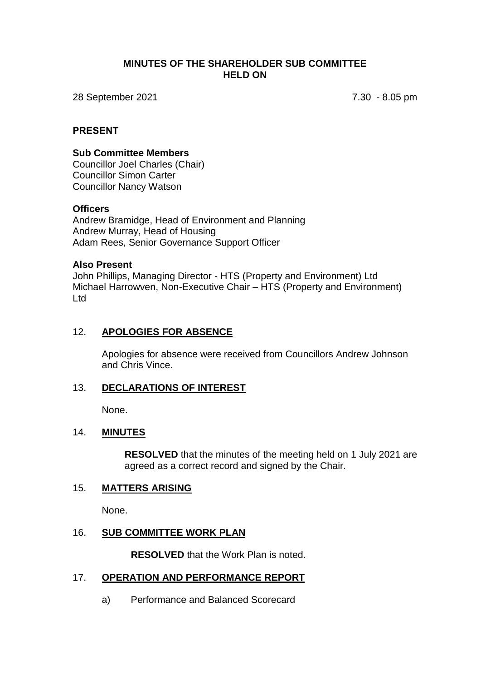#### **MINUTES OF THE SHAREHOLDER SUB COMMITTEE HELD ON**

28 September 2021 7.30 - 8.05 pm

#### **PRESENT**

#### **Sub Committee Members**

Councillor Joel Charles (Chair) Councillor Simon Carter Councillor Nancy Watson

#### **Officers**

Andrew Bramidge, Head of Environment and Planning Andrew Murray, Head of Housing Adam Rees, Senior Governance Support Officer

#### **Also Present**

John Phillips, Managing Director - HTS (Property and Environment) Ltd Michael Harrowven, Non-Executive Chair – HTS (Property and Environment) Ltd

## 12. **APOLOGIES FOR ABSENCE**

Apologies for absence were received from Councillors Andrew Johnson and Chris Vince.

## 13. **DECLARATIONS OF INTEREST**

None.

## 14. **MINUTES**

**RESOLVED** that the minutes of the meeting held on 1 July 2021 are agreed as a correct record and signed by the Chair.

## 15. **MATTERS ARISING**

None.

#### 16. **SUB COMMITTEE WORK PLAN**

**RESOLVED** that the Work Plan is noted.

## 17. **OPERATION AND PERFORMANCE REPORT**

a) Performance and Balanced Scorecard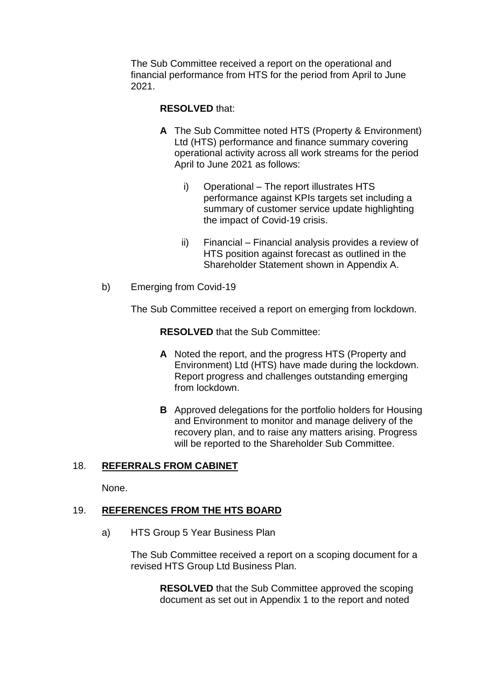The Sub Committee received a report on the operational and financial performance from HTS for the period from April to June 2021.

# **RESOLVED** that:

- **A** The Sub Committee noted HTS (Property & Environment) Ltd (HTS) performance and finance summary covering operational activity across all work streams for the period April to June 2021 as follows:
	- i) Operational The report illustrates HTS performance against KPIs targets set including a summary of customer service update highlighting the impact of Covid-19 crisis.
	- ii) Financial Financial analysis provides a review of HTS position against forecast as outlined in the Shareholder Statement shown in Appendix A.
- b) Emerging from Covid-19

The Sub Committee received a report on emerging from lockdown.

**RESOLVED** that the Sub Committee:

- **A** Noted the report, and the progress HTS (Property and Environment) Ltd (HTS) have made during the lockdown. Report progress and challenges outstanding emerging from lockdown.
- **B** Approved delegations for the portfolio holders for Housing and Environment to monitor and manage delivery of the recovery plan, and to raise any matters arising. Progress will be reported to the Shareholder Sub Committee.

# 18. **REFERRALS FROM CABINET**

None.

# 19. **REFERENCES FROM THE HTS BOARD**

a) HTS Group 5 Year Business Plan

The Sub Committee received a report on a scoping document for a revised HTS Group Ltd Business Plan.

**RESOLVED** that the Sub Committee approved the scoping document as set out in Appendix 1 to the report and noted